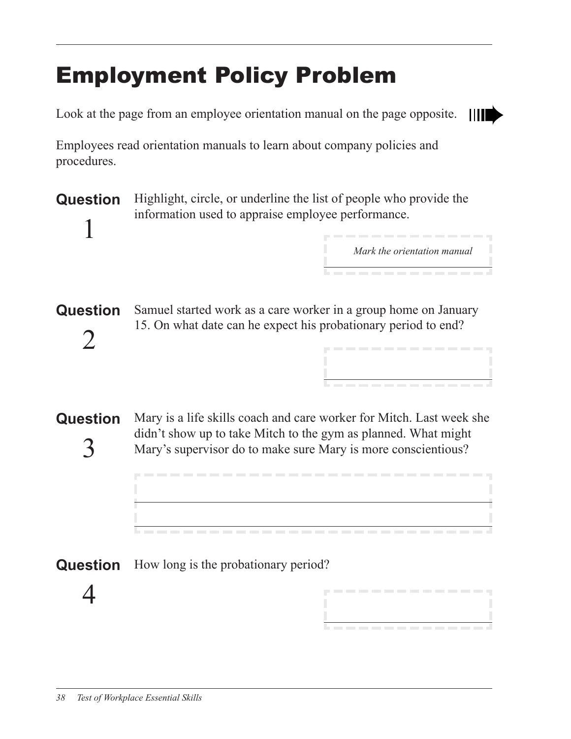# Employment Policy Problem

Look at the page from an employee orientation manual on the page opposite.



Employees read orientation manuals to learn about company policies and procedures.

**Question** 1 Highlight, circle, or underline the list of people who provide the information used to appraise employee performance.

*Mark the orientation manual*

|<br><u>|</u><br>|-------------

-----------

**Question** 2 Samuel started work as a care worker in a group home on January 15. On what date can he expect his probationary period to end?

**Question** 3 Mary is a life skills coach and care worker for Mitch. Last week she didn't show up to take Mitch to the gym as planned. What might Mary's supervisor do to make sure Mary is more conscientious?

#### **Question** How long is the probationary period?

4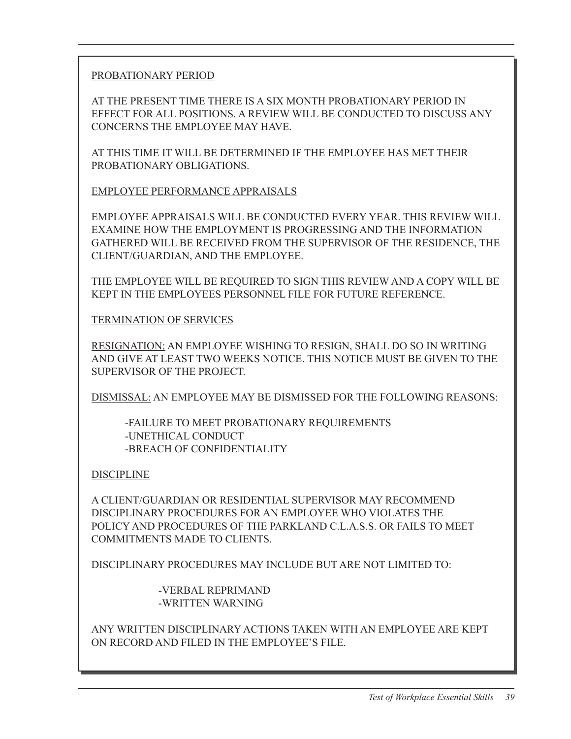PROBATIONARY PERIOD

AT THE PRESENT TIME THERE IS A SIX MONTH PROBATIONARY PERIOD IN EFFECT FOR ALL POSITIONS. A REVIEW WILL BE CONDUCTED TO DISCUSS ANY CONCERNS THE EMPLOYEE MAY HAVE.

AT THIS TIME IT WILL BE DETERMINED IF THE EMPLOYEE HAS MET THEIR PROBATIONARY OBLIGATIONS.

EMPLOYEE PERFORMANCE APPRAISALS

EMPLOYEE APPRAISALS WILL BE CONDUCTED EVERY YEAR. THIS REVIEW WILL EXAMINE HOW THE EMPLOYMENT IS PROGRESSING AND THE INFORMATION GATHERED WILL BE RECEIVED FROM THE SUPERVISOR OF THE RESIDENCE, THE CLIENT/GUARDIAN, AND THE EMPLOYEE.

THE EMPLOYEE WILL BE REQUIRED TO SIGN THIS REVIEW AND A COPY WILL BE KEPT IN THE EMPLOYEES PERSONNEL FILE FOR FUTURE REFERENCE.

TERMINATION OF SERVICES

RESIGNATION: AN EMPLOYEE WISHING TO RESIGN, SHALL DO SO IN WRITING AND GIVE AT LEAST TWO WEEKS NOTICE. THIS NOTICE MUST BE GIVEN TO THE SUPERVISOR OF THE PROJECT.

DISMISSAL: AN EMPLOYEE MAY BE DISMISSED FOR THE FOLLOWING REASONS:

-FAILURE TO MEET PROBATIONARY REQUIREMENTS -UNETHICAL CONDUCT -BREACH OF CONFIDENTIALITY

DISCIPLINE

A CLIENT/GUARDIAN OR RESIDENTIAL SUPERVISOR MAY RECOMMEND DISCIPLINARY PROCEDURES FOR AN EMPLOYEE WHO VIOLATES THE POLICY AND PROCEDURES OF THE PARKLAND C.L.A.S.S. OR FAILS TO MEET COMMITMENTS MADE TO CLIENTS.

DISCIPLINARY PROCEDURES MAY INCLUDE BUT ARE NOT LIMITED TO:

-VERBAL REPRIMAND -WRITTEN WARNING

ANY WRITTEN DISCIPLINARY ACTIONS TAKEN WITH AN EMPLOYEE ARE KEPT ON RECORD AND FILED IN THE EMPLOYEE'S FILE.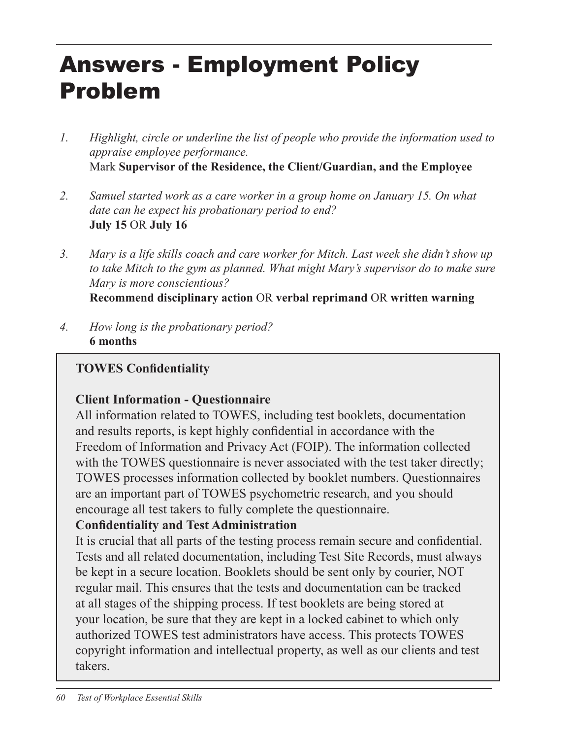# Answers - Employment Policy Problem

- *1. Highlight, circle or underline the list of people who provide the information used to appraise employee performance.* Mark **Supervisor of the Residence, the Client/Guardian, and the Employee**
- *2. Samuel started work as a care worker in a group home on January 15. On what date can he expect his probationary period to end?* **July 15** OR **July 16**
- *3. Mary is a life skills coach and care worker for Mitch. Last week she didn't show up*  to take Mitch to the gym as planned. What might Mary's supervisor do to make sure *Mary is more conscientious?* **Recommend disciplinary action** OR **verbal reprimand** OR **written warning**
- *4. How long is the probationary period?* **6 months**

### **TOWES Confidentiality**

## **Client Information - Questionnaire**

All information related to TOWES, including test booklets, documentation and results reports, is kept highly confidential in accordance with the Freedom of Information and Privacy Act (FOIP). The information collected with the TOWES questionnaire is never associated with the test taker directly; TOWES processes information collected by booklet numbers. Questionnaires are an important part of TOWES psychometric research, and you should encourage all test takers to fully complete the questionnaire.

## **Confidentiality and Test Administration**

It is crucial that all parts of the testing process remain secure and confidential. Tests and all related documentation, including Test Site Records, must always be kept in a secure location. Booklets should be sent only by courier, NOT regular mail. This ensures that the tests and documentation can be tracked at all stages of the shipping process. If test booklets are being stored at your location, be sure that they are kept in a locked cabinet to which only authorized TOWES test administrators have access. This protects TOWES copyright information and intellectual property, as well as our clients and test takers.